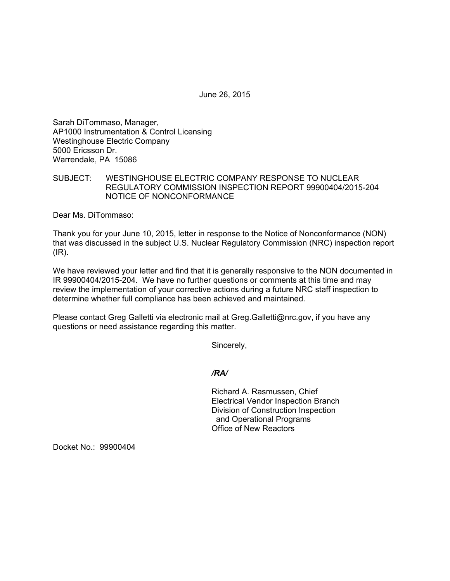June 26, 2015

Sarah DiTommaso, Manager, AP1000 Instrumentation & Control Licensing Westinghouse Electric Company 5000 Ericsson Dr. Warrendale, PA 15086

## SUBJECT: WESTINGHOUSE ELECTRIC COMPANY RESPONSE TO NUCLEAR REGULATORY COMMISSION INSPECTION REPORT 99900404/2015-204 NOTICE OF NONCONFORMANCE

Dear Ms. DiTommaso:

Thank you for your June 10, 2015, letter in response to the Notice of Nonconformance (NON) that was discussed in the subject U.S. Nuclear Regulatory Commission (NRC) inspection report  $(IR)$ .

We have reviewed your letter and find that it is generally responsive to the NON documented in IR 99900404/2015-204. We have no further questions or comments at this time and may review the implementation of your corrective actions during a future NRC staff inspection to determine whether full compliance has been achieved and maintained.

Please contact Greg Galletti via electronic mail at Greg.Galletti@nrc.gov, if you have any questions or need assistance regarding this matter.

Sincerely,

*/RA/* 

Richard A. Rasmussen, Chief Electrical Vendor Inspection Branch Division of Construction Inspection and Operational Programs Office of New Reactors

Docket No.: 99900404